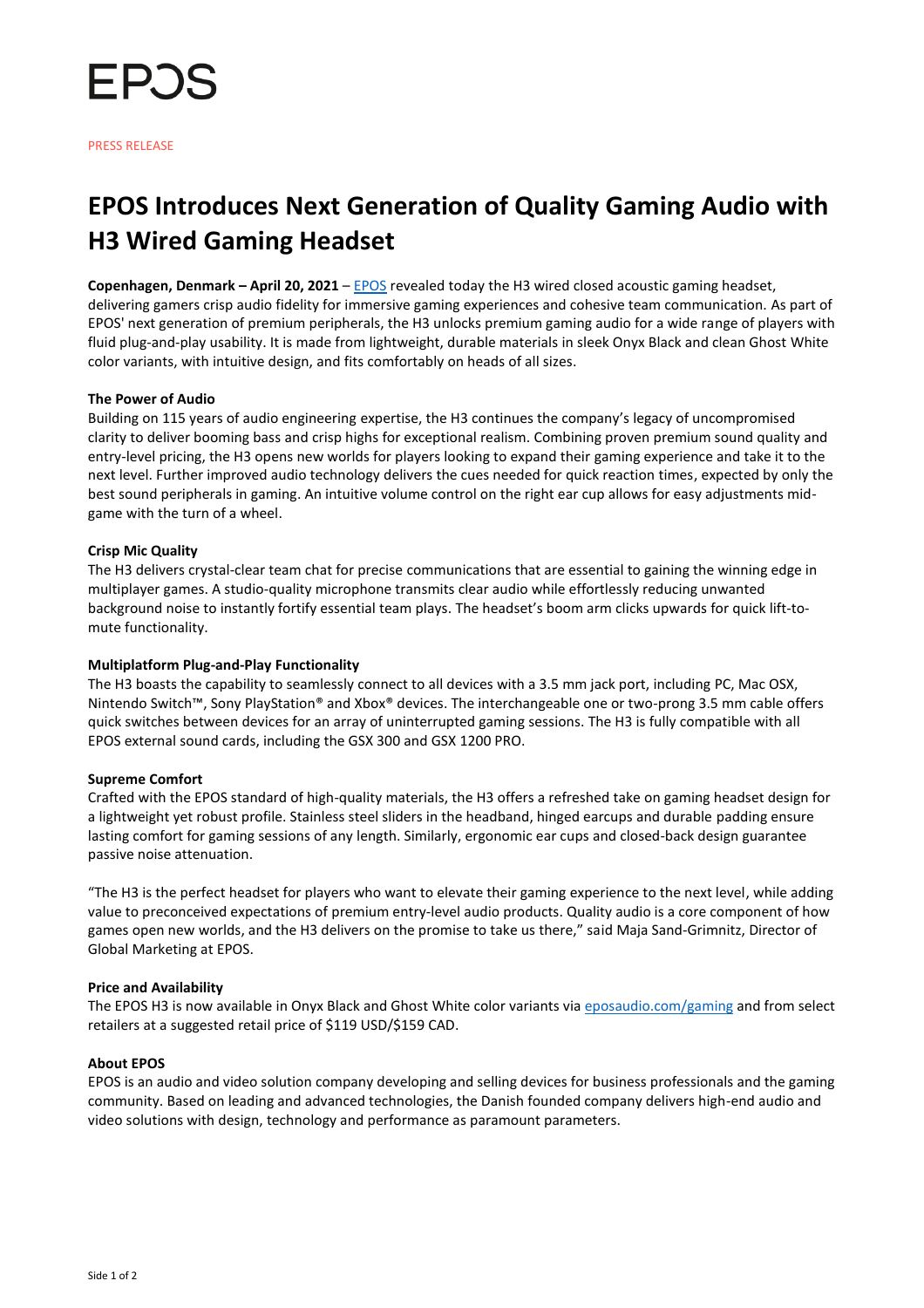

# **EPOS Introduces Next Generation of Quality Gaming Audio with H3 Wired Gaming Headset**

**Copenhagen, Denmark – April 20, 2021** – [EPOS](https://www.eposaudio.com/en/us/gaming) revealed today the H3 wired closed acoustic gaming headset, delivering gamers crisp audio fidelity for immersive gaming experiences and cohesive team communication. As part of EPOS' next generation of premium peripherals, the H3 unlocks premium gaming audio for a wide range of players with fluid plug-and-play usability. It is made from lightweight, durable materials in sleek Onyx Black and clean Ghost White color variants, with intuitive design, and fits comfortably on heads of all sizes.

## **The Power of Audio**

Building on 115 years of audio engineering expertise, the H3 continues the company's legacy of uncompromised clarity to deliver booming bass and crisp highs for exceptional realism. Combining proven premium sound quality and entry-level pricing, the H3 opens new worlds for players looking to expand their gaming experience and take it to the next level. Further improved audio technology delivers the cues needed for quick reaction times, expected by only the best sound peripherals in gaming. An intuitive volume control on the right ear cup allows for easy adjustments midgame with the turn of a wheel.

#### **Crisp Mic Quality**

The H3 delivers crystal-clear team chat for precise communications that are essential to gaining the winning edge in multiplayer games. A studio-quality microphone transmits clear audio while effortlessly reducing unwanted background noise to instantly fortify essential team plays. The headset's boom arm clicks upwards for quick lift-tomute functionality.

#### **Multiplatform Plug-and-Play Functionality**

The H3 boasts the capability to seamlessly connect to all devices with a 3.5 mm jack port, including PC, Mac OSX, Nintendo Switch™, Sony PlayStation® and Xbox® devices. The interchangeable one or two-prong 3.5 mm cable offers quick switches between devices for an array of uninterrupted gaming sessions. The H3 is fully compatible with all EPOS external sound cards, including the GSX 300 and GSX 1200 PRO.

#### **Supreme Comfort**

Crafted with the EPOS standard of high-quality materials, the H3 offers a refreshed take on gaming headset design for a lightweight yet robust profile. Stainless steel sliders in the headband, hinged earcups and durable padding ensure lasting comfort for gaming sessions of any length. Similarly, ergonomic ear cups and closed-back design guarantee passive noise attenuation.

"The H3 is the perfect headset for players who want to elevate their gaming experience to the next level, while adding value to preconceived expectations of premium entry-level audio products. Quality audio is a core component of how games open new worlds, and the H3 delivers on the promise to take us there," said Maja Sand-Grimnitz, Director of Global Marketing at EPOS.

#### **Price and Availability**

The EPOS H3 is now available in Onyx Black and Ghost White color variants via [eposaudio.com/gaming](https://www.eposaudio.com/en/us/gaming) and from select retailers at a suggested retail price of \$119 USD/\$159 CAD.

## **About EPOS**

EPOS is an audio and video solution company developing and selling devices for business professionals and the gaming community. Based on leading and advanced technologies, the Danish founded company delivers high-end audio and video solutions with design, technology and performance as paramount parameters.